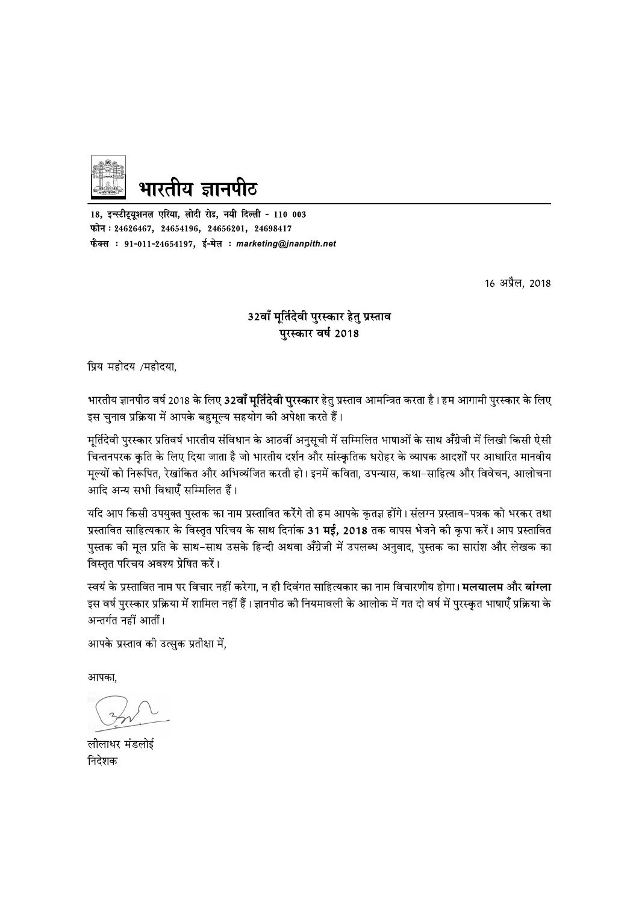

18, इन्स्टीट्यूशनल एरिया, लोदी रोड, नयी दिल्ली - 110 003 फोन: 24626467, 24654196, 24656201, 24698417 फैक्स : 91-011-24654197, ई-मेल : marketing@jnanpith.net

16 अप्रैल, 2018

#### 32वाँ मूर्तिदेवी पुरस्कार हेतु प्रस्ताव पुरस्कार वर्ष 2018

प्रिय महोदय /महोदया,

भारतीय ज्ञानपीठ वर्ष 2018 के लिए **32वाँ मूर्तिदेवी पुरस्कार** हेतु प्रस्ताव आमन्त्रित करता है। हम आगामी पुरस्कार के लिए इस चुनाव प्रक्रिया में आपके बहुमूल्य सहयोग की अपेक्षा करते हैं।

मूर्तिदेवी पुरस्कार प्रतिवर्ष भारतीय संविधान के आठवीं अनुसूची में सम्मिलित भाषाओं के साथ अँग्रेजी में लिखी किसी ऐसी चिन्तनपरक कृति के लिए दिया जाता है जो भारतीय दर्शन और सांस्कृतिक धरोहर के व्यापक आदर्शों पर आधारित मानवीय मूल्यों को निरूपित, रेखांकित और अभिव्यंजित करती हो। इनमें कविता, उपन्यास, कथा–साहित्य और विवेचन, आलोचना आदि अन्य सभी विधाएँ सम्मिलित हैं।

यदि आप किसी उपयुक्त पुस्तक का नाम प्रस्तावित करेंगे तो हम आपके कृतज्ञ होंगे। संलग्न प्रस्ताव–पत्रक को भरकर तथा प्रस्तावित साहित्यकार के विस्तृत परिचय के साथ दिनांक 31 **मई, 2018** तक वापस भेजने की कृपा करें। आप प्रस्तावित पुस्तक की मूल प्रति के साथ-साथ उसके हिन्दी अथवा अँग्रेजी में उपलब्ध अनुवाद, पुस्तक का सारांश और लेखक का विस्तृत परिचय अवश्य प्रेषित करें।

स्वयं के प्रस्तावित नाम पर विचार नहीं करेगा, न ही दिवंगत साहित्यकार का नाम विचारणीय होगा। **मलयालम** और **बांग्ला** इस वर्ष पुरस्कार प्रक्रिया में शामिल नहीं हैं। ज्ञानपीठ की नियमावली के आलोक में गत दो वर्ष में पुरस्कृत भाषाएँ प्रक्रिया के अन्तर्गत नहीं आतीं।

आपके प्रस्ताव की उत्सुक प्रतीक्षा में,

आपका.

लीलाधर मंडलोई निदेशक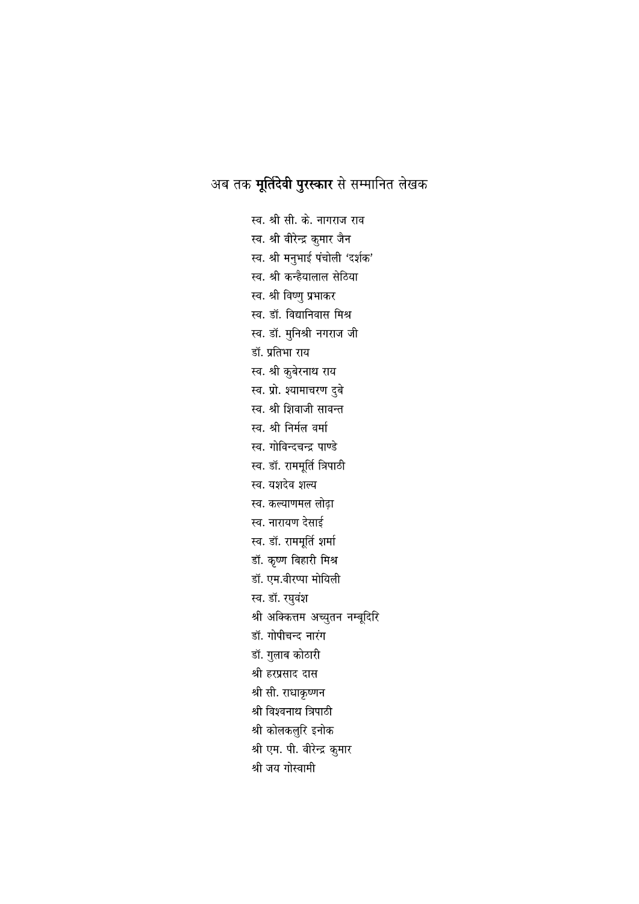### अब तक **मूर्तिदेवी पुरस्कार** से सम्मानित लेखक

स्व. श्री सी. के. नागराज राव स्व. श्री वीरेन्द्र कुमार जैन स्व. श्री मनुभाई पंचोली 'दर्शक' स्व. श्री कन्हैयालाल सेठिया स्व. श्री विष्णु प्रभाकर स्व. डॉ. विद्यानिवास मिश्र स्व. डॉ. मुनिश्री नगराज जी डॉ. प्रतिभा राय स्व. श्री कुबेरनाथ राय स्व. प्रो. श्यामाचरण दुबे स्व. श्री शिवाजी सावन्त स्व. श्री निर्मल वर्मा स्व. गोविन्दचन्द्र पाण्डे स्व. डॉ. राममूर्ति त्रिपाठी स्व. यशदेव शल्य स्व. कल्याणमल लोढ़ा स्व. नारायण देसाई स्व. डॉ. राममूर्ति शर्मा डॉ. कृष्ण बिहारी मिश्र डॉ. एम.वीरप्पा मोयिली स्व. डॉ. रघुवंश श्री अक्कित्तम अच्युतन नम्बूदिरि डॉ. गोपीचन्द नारंग डॉ. गुलाब कोठारी श्री हरप्रसाद दास श्री सी. राधाकृष्णन श्री विश्वनाथ त्रिपाठी श्री कोलकलुरि इनोक श्री एम. पी. वीरेन्द्र कुमार श्री जय गोस्वामी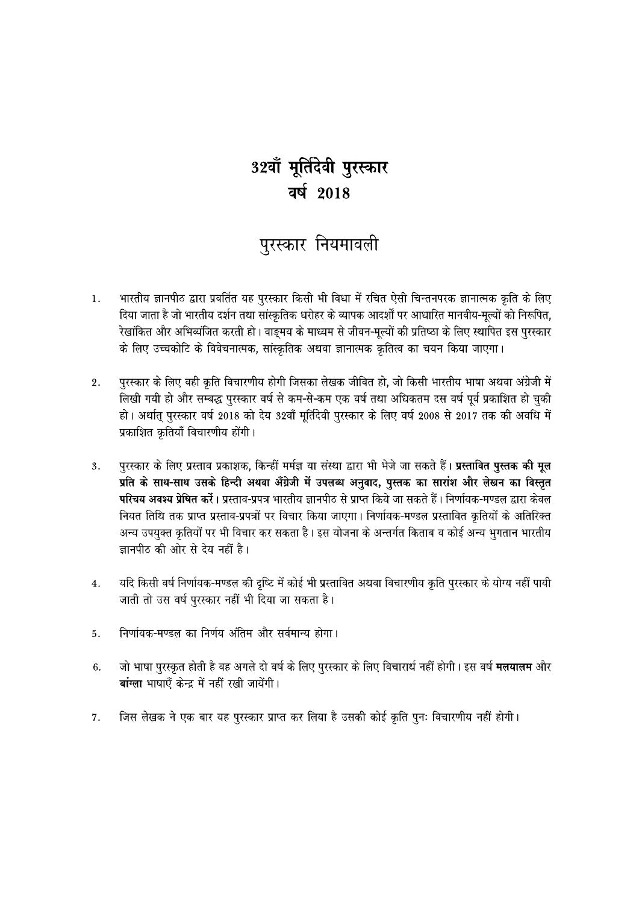## 32वॉ मूर्तिदेवी पुरस्कार वर्ष 2018

## पुरस्कार नियमावली

- $1.$ भारतीय ज्ञानपीठ द्वारा प्रवर्तित यह पुरस्कार किसी भी विधा में रचित ऐसी चिन्तनपरक ज्ञानात्मक कृति के लिए दिया जाता है जो भारतीय दर्शन तथा सांस्क्रतिक धरोहर के व्यापक आदर्शों पर आधारित मानवीय-मूल्यों को निरूपित, रेखांकित और अभिव्यंजित करती हो। वाङ्मय के माध्यम से जीवन-मूल्यों की प्रतिष्ठा के लिए स्थापित इस पुरस्कार के लिए उच्चकोटि के विवेचनात्मक, सांस्क्रतिक अथवा ज्ञानात्मक कृतित्व का चयन किया जाएगा।
- पुरस्कार के लिए वही कृति विचारणीय होगी जिसका लेखक जीवित हो, जो किसी भारतीय भाषा अथवा अंग्रेजी में  $2.$ लिखी गयी हो और सम्बद्ध पुरस्कार वर्ष से कम-से-कम एक वर्ष तथा अधिकतम दस वर्ष पूर्व प्रकाशित हो चुकी हो। अर्थात् पुरस्कार वर्ष 2018 को देय 32वाँ मूर्तिदेवी पुरस्कार के लिए वर्ष 2008 से 2017 तक की अवधि में प्रकाशित कृतियाँ विचारणीय होंगी।
- पुरस्कार के लिए प्रस्ताव प्रकाशक, किन्हीं मर्मज्ञ या संस्था द्वारा भी भेजे जा सकते हैं। **प्रस्तावित पुस्तक की मूल**  $\overline{3}$ . प्रति के साथ-साथ उसके हिन्दी अथवा अँग्रेजी में उपलब्ध अनुवाद, पुस्तक का सारांश और लेखन का विस्तृत **परिचय अवश्य प्रेषित करें।** प्रस्ताव-प्रपत्र भारतीय ज्ञानपीठ से प्राप्त किये जा सकते हैं। निर्णायक-मण्डल द्वारा केवल नियत तिथि तक प्राप्त प्रस्ताव-प्रपत्रों पर विचार किया जाएगा। निर्णायक-मण्डल प्रस्तावित कृतियों के अतिरिक्त अन्य उपयुक्त क्रतियों पर भी विचार कर सकता है। इस योजना के अन्तर्गत किताब व कोई अन्य भुगतान भारतीय ज्ञानपीठ की ओर से देय नहीं है।
- यदि किसी वर्ष निर्णायक-मण्डल की दृष्टि में कोई भी प्रस्तावित अथवा विचारणीय कृति पुरस्कार के योग्य नहीं पायी  $\overline{4}$ . जाती तो उस वर्ष पुरस्कार नहीं भी दिया जा सकता है।
- निर्णायक-मण्डल का निर्णय अंतिम और सर्वमान्य होगा। 5.
- जो भाषा पुरस्कृत होती है वह अगले दो वर्ष के लिए पुरस्कार के लिए विचारार्थ नहीं होगी। इस वर्ष **मलयालम** और 6. बांग्ला भाषाएँ केन्द्र में नहीं रखी जायेंगी।
- जिस लेखक ने एक बार यह पुरस्कार प्राप्त कर लिया है उसकी कोई कृति पुनः विचारणीय नहीं होगी। 7.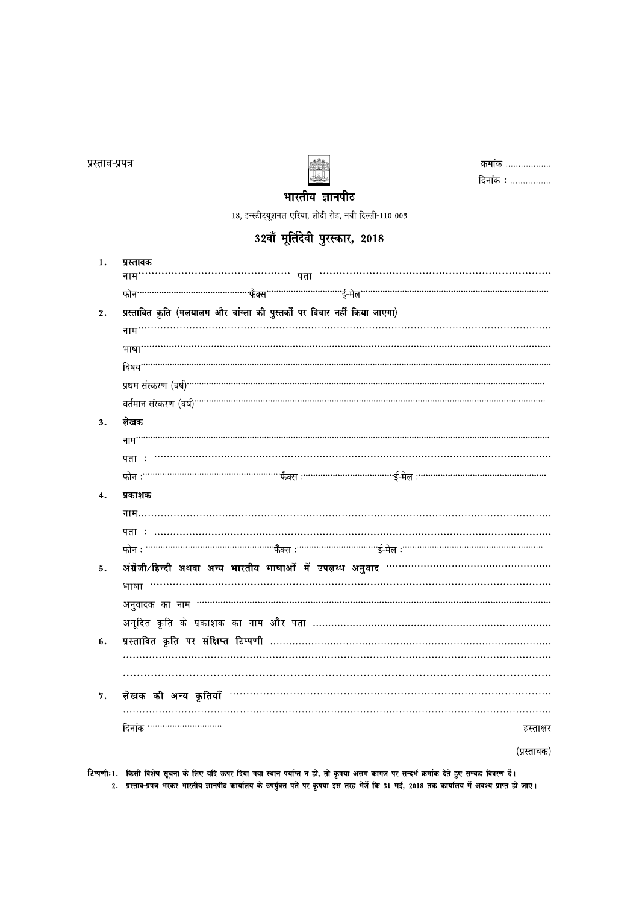प्रस्ताव-प्रपत्र

 $1.$ 

 $2.$ 

 $3.$ 

 $4.$ 

 $5.$ 

6.

 $7\,.$ 

दिनांक ·······························

लेखक

प्रकाशक

प्रस्तावक



| क्रमाक   |
|----------|
| दिनांक : |

हस्ताक्षर

(प्रस्तावक)

भारतीय ज्ञानपीठ

32वाँ मूर्तिदेवी पुरस्कार, 2018

प्रस्तावित कृति (मलयालम और बांग्ला की पुस्तकों पर विचार नहीं किया जाएगा)

अंग्रेजी ∕हिन्दी अथवा अन्य भारतीय भाषाओं में उपलब्ध अनुवाद …………………………………………

प्रस्तावित कृति पर संक्षिप्त टिप्पणी ……………………………………………………………………………

टिप्पणीः 1. किसी विशेष सूचना के लिए यदि ऊपर दिया गया स्थान पर्याप्त न हो, तो कृपया अलग कागज पर सन्दर्भ क्रमांक देते हुए सम्बद्ध विवरण दें।

2. प्रस्ताव-प्रपत्र भरकर भारतीय ज्ञानपीट कार्यालय के उपर्युक्त पते पर कृपया इस तरह भेजें कि 31 मई, 2018 तक कार्यालय में अवश्य प्राप्त हो जाए।

18, इन्स्टीट्यूशनल एरिया, लोदी रोड, नयी दिल्ली-110 003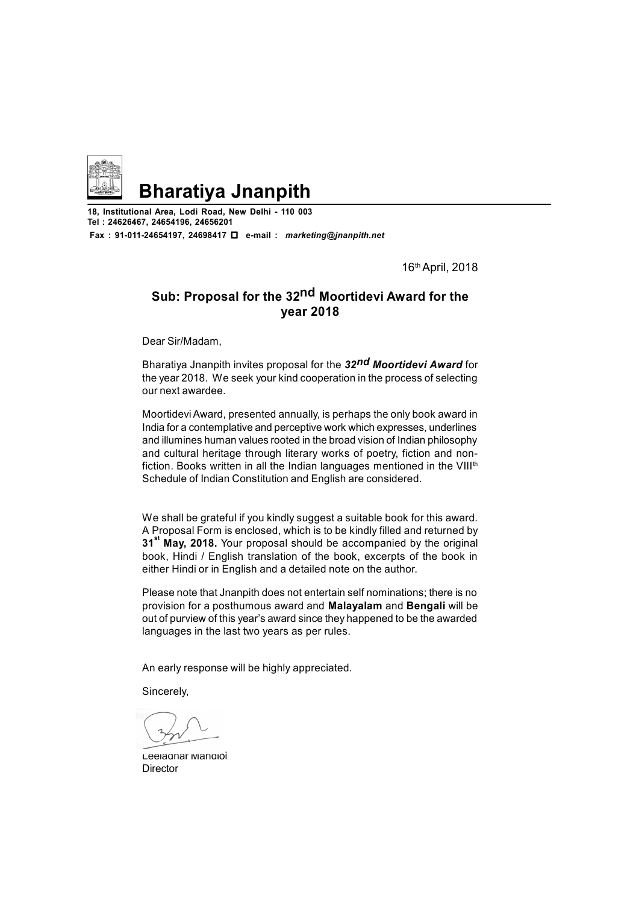

## **Bharatiya Jnanpith**

**18, Institutional Area, Lodi Road, New Delhi - 110 003 Tel : 24626467, 24654196, 24656201 Fax : 91-011-24654197, 24698417 e-mail :** *marketing@jnanpith.net*

16th April, 2018

#### **Sub: Proposal for the 32nd Moortidevi Award for the year 2018**

Dear Sir/Madam,

Bharatiya Jnanpith invites proposal for the *32nd Moortidevi Award* for the year 2018. We seek your kind cooperation in the process of selecting our next awardee.

Moortidevi Award, presented annually, is perhaps the only book award in India for a contemplative and perceptive work which expresses, underlines and illumines human values rooted in the broad vision of Indian philosophy and cultural heritage through literary works of poetry, fiction and nonfiction. Books written in all the Indian languages mentioned in the VIII<sup>th</sup> Schedule of Indian Constitution and English are considered.

We shall be grateful if you kindly suggest a suitable book for this award. A Proposal Form is enclosed, which is to be kindly filled and returned by **31st May, 2018.** Your proposal should be accompanied by the original book, Hindi / English translation of the book, excerpts of the book in either Hindi or in English and a detailed note on the author.

Please note that Jnanpith does not entertain self nominations; there is no provision for a posthumous award and **Malayalam** and **Bengali** will be out of purview of this year's award since they happened to be the awarded languages in the last two years as per rules.

An early response will be highly appreciated.

Sincerely,

Leeladhar Mandloi **Director**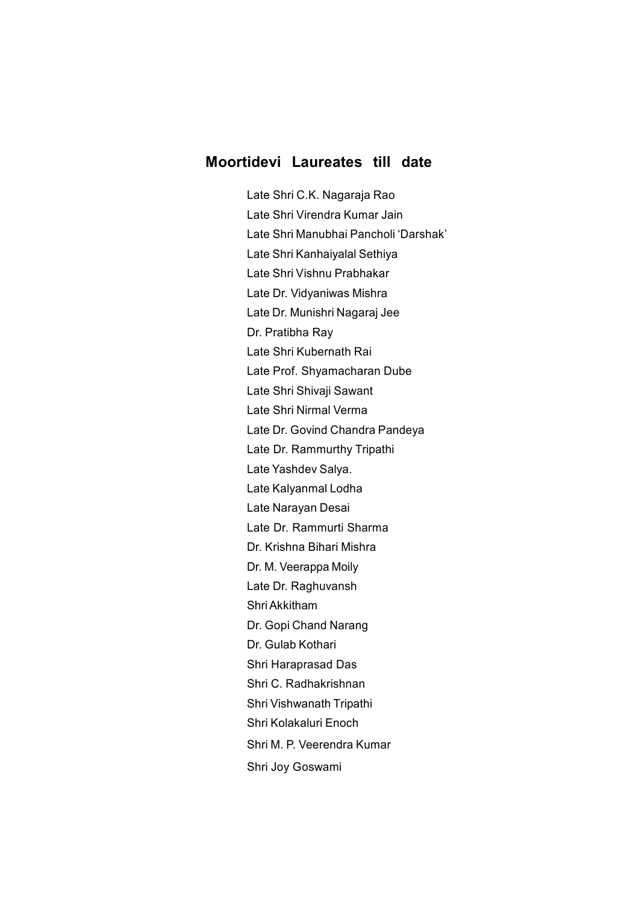#### **Moortidevi Laureates till date**

Late Shri C.K. Nagaraja Rao Late Shri Virendra Kumar Jain Late Shri Manubhai Pancholi 'Darshak' Late Shri Kanhaiyalal Sethiya Late Shri Vishnu Prabhakar Late Dr. Vidyaniwas Mishra Late Dr. Munishri Nagaraj Jee Dr. Pratibha Ray Late Shri Kubernath Rai Late Prof. Shyamacharan Dube Late Shri Shivaji Sawant Late Shri Nirmal Verma Late Dr. Govind Chandra Pandeya Late Dr. Rammurthy Tripathi Late Yashdev Salya. Late Kalyanmal Lodha Late Narayan Desai Late Dr. Rammurti Sharma Dr. Krishna Bihari Mishra Dr. M. Veerappa Moily Late Dr. Raghuvansh Shri Akkitham Dr. Gopi Chand Narang Dr. Gulab Kothari Shri Haraprasad Das Shri C. Radhakrishnan Shri Vishwanath Tripathi Shri Kolakaluri Enoch Shri M. P. Veerendra Kumar Shri Joy Goswami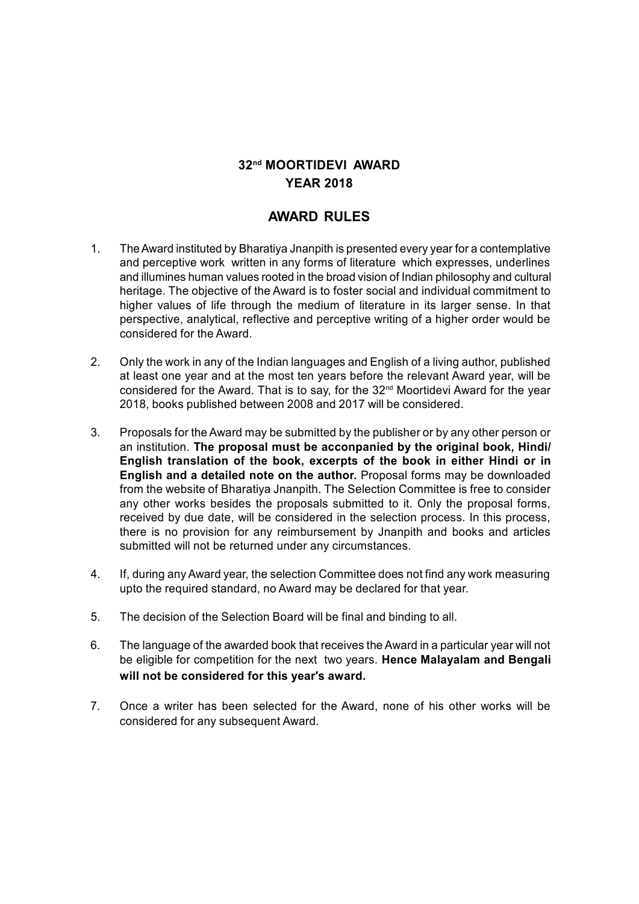#### **32nd MOORTIDEVI AWARD YEAR 2018**

#### **AWARD RULES**

- 1. The Award instituted by Bharatiya Jnanpith is presented every year for a contemplative and perceptive work written in any forms of literature which expresses, underlines and illumines human values rooted in the broad vision of Indian philosophy and cultural heritage. The objective of the Award is to foster social and individual commitment to higher values of life through the medium of literature in its larger sense. In that perspective, analytical, reflective and perceptive writing of a higher order would be considered for the Award.
- 2. Only the work in any of the Indian languages and English of a living author, published at least one year and at the most ten years before the relevant Award year, will be considered for the Award. That is to say, for the 32nd Moortidevi Award for the year 2018, books published between 2008 and 2017 will be considered.
- 3. Proposals for the Award may be submitted by the publisher or by any other person or an institution. **The proposal must be acconpanied by the original book, Hindi/ English translation of the book, excerpts of the book in either Hindi or in English and a detailed note on the author.** Proposal forms may be downloaded from the website of Bharatiya Jnanpith. The Selection Committee is free to consider any other works besides the proposals submitted to it. Only the proposal forms, received by due date, will be considered in the selection process. In this process, there is no provision for any reimbursement by Jnanpith and books and articles submitted will not be returned under any circumstances.
- 4. If, during any Award year, the selection Committee does not find any work measuring upto the required standard, no Award may be declared for that year.
- 5. The decision of the Selection Board will be final and binding to all.
- 6. The language of the awarded book that receives the Award in a particular year will not be eligible for competition for the next two years. **Hence Malayalam and Bengali will not be considered for this year's award.**
- 7. Once a writer has been selected for the Award, none of his other works will be considered for any subsequent Award.